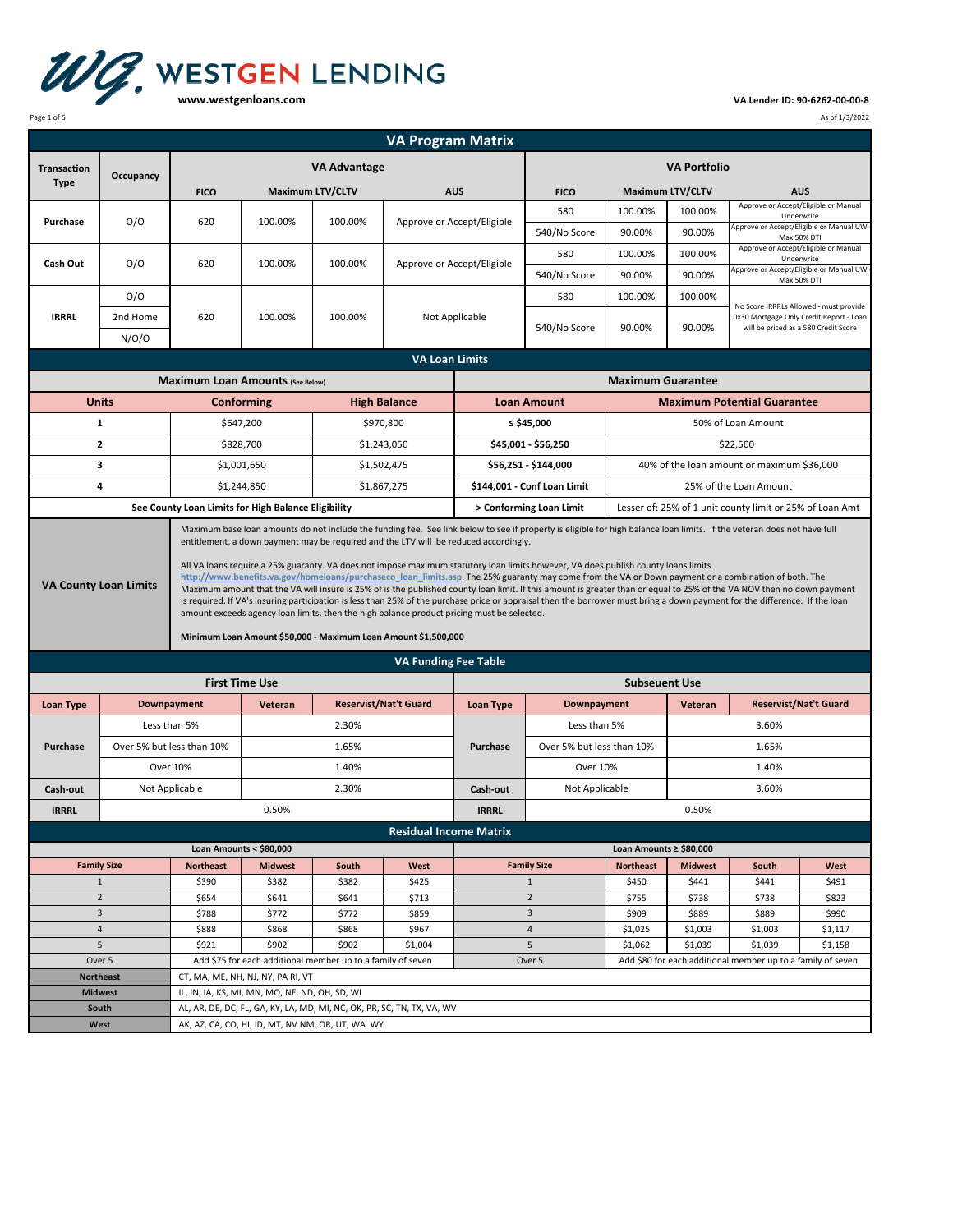

## **VA Lender ID: 90‐6262‐00‐00‐8**

Page 1 of 5 As of 1/3/2022

| <b>VA Program Matrix</b>                                                            |                                       |                                                                                                                                                                                                                                                                                                                                                                                                                                                                                                                                                                                                                                                                                                                                                                                                                                                                                                                                                                                                                                                                                        |                                         |                     |                             |                            |                             |                                                        |                                                          |                                                                                                                           |                                                       |  |
|-------------------------------------------------------------------------------------|---------------------------------------|----------------------------------------------------------------------------------------------------------------------------------------------------------------------------------------------------------------------------------------------------------------------------------------------------------------------------------------------------------------------------------------------------------------------------------------------------------------------------------------------------------------------------------------------------------------------------------------------------------------------------------------------------------------------------------------------------------------------------------------------------------------------------------------------------------------------------------------------------------------------------------------------------------------------------------------------------------------------------------------------------------------------------------------------------------------------------------------|-----------------------------------------|---------------------|-----------------------------|----------------------------|-----------------------------|--------------------------------------------------------|----------------------------------------------------------|---------------------------------------------------------------------------------------------------------------------------|-------------------------------------------------------|--|
| <b>Transaction</b><br><b>Type</b>                                                   | Occupancy                             | <b>VA Advantage</b>                                                                                                                                                                                                                                                                                                                                                                                                                                                                                                                                                                                                                                                                                                                                                                                                                                                                                                                                                                                                                                                                    |                                         |                     |                             |                            | <b>VA Portfolio</b>         |                                                        |                                                          |                                                                                                                           |                                                       |  |
|                                                                                     |                                       | <b>Maximum LTV/CLTV</b><br><b>FICO</b>                                                                                                                                                                                                                                                                                                                                                                                                                                                                                                                                                                                                                                                                                                                                                                                                                                                                                                                                                                                                                                                 |                                         |                     |                             | <b>AUS</b>                 | <b>FICO</b>                 |                                                        | <b>Maximum LTV/CLTV</b>                                  |                                                                                                                           | <b>AUS</b>                                            |  |
|                                                                                     |                                       |                                                                                                                                                                                                                                                                                                                                                                                                                                                                                                                                                                                                                                                                                                                                                                                                                                                                                                                                                                                                                                                                                        |                                         |                     |                             |                            | 580                         | 100.00%                                                | 100.00%                                                  |                                                                                                                           | Approve or Accept/Eligible or Manual                  |  |
| Purchase                                                                            | O/O                                   | 620                                                                                                                                                                                                                                                                                                                                                                                                                                                                                                                                                                                                                                                                                                                                                                                                                                                                                                                                                                                                                                                                                    | 100.00%                                 | 100.00%             |                             | Approve or Accept/Eligible | 540/No Score                | 90.00%                                                 | 90.00%                                                   |                                                                                                                           | Underwrite<br>Approve or Accept/Eligible or Manual UW |  |
|                                                                                     |                                       |                                                                                                                                                                                                                                                                                                                                                                                                                                                                                                                                                                                                                                                                                                                                                                                                                                                                                                                                                                                                                                                                                        |                                         |                     |                             |                            | 580                         | 100.00%                                                | 100.00%                                                  |                                                                                                                           | Max 50% DTI<br>Approve or Accept/Eligible or Manual   |  |
| Cash Out                                                                            | O/O                                   | 620                                                                                                                                                                                                                                                                                                                                                                                                                                                                                                                                                                                                                                                                                                                                                                                                                                                                                                                                                                                                                                                                                    | 100.00%                                 | 100.00%             | Approve or Accept/Eligible  |                            | 540/No Score                | 90.00%                                                 | 90.00%                                                   |                                                                                                                           | Underwrite<br>Approve or Accept/Eligible or Manual UW |  |
|                                                                                     | O/O                                   |                                                                                                                                                                                                                                                                                                                                                                                                                                                                                                                                                                                                                                                                                                                                                                                                                                                                                                                                                                                                                                                                                        |                                         |                     |                             |                            | 580                         | 100.00%                                                | 100.00%                                                  |                                                                                                                           | Max 50% DTI                                           |  |
| <b>IRRRL</b>                                                                        | 2nd Home                              | 620                                                                                                                                                                                                                                                                                                                                                                                                                                                                                                                                                                                                                                                                                                                                                                                                                                                                                                                                                                                                                                                                                    | 100.00%                                 | 100.00%             | Not Applicable              |                            |                             |                                                        |                                                          | No Score IRRRLs Allowed - must provide<br>0x30 Mortgage Only Credit Report - Loan<br>will be priced as a 580 Credit Score |                                                       |  |
|                                                                                     |                                       |                                                                                                                                                                                                                                                                                                                                                                                                                                                                                                                                                                                                                                                                                                                                                                                                                                                                                                                                                                                                                                                                                        |                                         |                     |                             |                            | 540/No Score                | 90.00%                                                 | 90.00%                                                   |                                                                                                                           |                                                       |  |
|                                                                                     | N/O/O                                 |                                                                                                                                                                                                                                                                                                                                                                                                                                                                                                                                                                                                                                                                                                                                                                                                                                                                                                                                                                                                                                                                                        |                                         |                     |                             |                            |                             |                                                        |                                                          |                                                                                                                           |                                                       |  |
|                                                                                     |                                       |                                                                                                                                                                                                                                                                                                                                                                                                                                                                                                                                                                                                                                                                                                                                                                                                                                                                                                                                                                                                                                                                                        |                                         |                     | <b>VA Loan Limits</b>       |                            |                             |                                                        |                                                          |                                                                                                                           |                                                       |  |
|                                                                                     |                                       | <b>Maximum Loan Amounts (See Below)</b>                                                                                                                                                                                                                                                                                                                                                                                                                                                                                                                                                                                                                                                                                                                                                                                                                                                                                                                                                                                                                                                |                                         |                     |                             |                            |                             | <b>Maximum Guarantee</b>                               |                                                          |                                                                                                                           |                                                       |  |
|                                                                                     | <b>Units</b>                          |                                                                                                                                                                                                                                                                                                                                                                                                                                                                                                                                                                                                                                                                                                                                                                                                                                                                                                                                                                                                                                                                                        | Conforming                              | <b>High Balance</b> |                             |                            | <b>Loan Amount</b>          | <b>Maximum Potential Guarantee</b>                     |                                                          |                                                                                                                           |                                                       |  |
|                                                                                     | $\mathbf{1}$                          |                                                                                                                                                                                                                                                                                                                                                                                                                                                                                                                                                                                                                                                                                                                                                                                                                                                                                                                                                                                                                                                                                        | \$647,200                               |                     | \$970,800                   |                            | ≤ \$45,000                  | 50% of Loan Amount                                     |                                                          |                                                                                                                           |                                                       |  |
|                                                                                     | $\mathbf{2}$                          |                                                                                                                                                                                                                                                                                                                                                                                                                                                                                                                                                                                                                                                                                                                                                                                                                                                                                                                                                                                                                                                                                        | \$828,700                               | \$1,243,050         |                             |                            | \$45,001 - \$56,250         | \$22,500                                               |                                                          |                                                                                                                           |                                                       |  |
|                                                                                     | 3                                     |                                                                                                                                                                                                                                                                                                                                                                                                                                                                                                                                                                                                                                                                                                                                                                                                                                                                                                                                                                                                                                                                                        | \$1,001,650                             |                     | \$1,502,475                 |                            | \$56,251 - \$144,000        | 40% of the loan amount or maximum \$36,000             |                                                          |                                                                                                                           |                                                       |  |
|                                                                                     | 4                                     |                                                                                                                                                                                                                                                                                                                                                                                                                                                                                                                                                                                                                                                                                                                                                                                                                                                                                                                                                                                                                                                                                        | \$1,244,850                             |                     | \$1,867,275                 |                            | \$144,001 - Conf Loan Limit |                                                        | 25% of the Loan Amount                                   |                                                                                                                           |                                                       |  |
| See County Loan Limits for High Balance Eligibility                                 |                                       |                                                                                                                                                                                                                                                                                                                                                                                                                                                                                                                                                                                                                                                                                                                                                                                                                                                                                                                                                                                                                                                                                        |                                         |                     |                             | > Conforming Loan Limit    |                             |                                                        | Lesser of: 25% of 1 unit county limit or 25% of Loan Amt |                                                                                                                           |                                                       |  |
| <b>VA County Loan Limits</b>                                                        |                                       | Maximum base loan amounts do not include the funding fee. See link below to see if property is eligible for high balance loan limits. If the veteran does not have full<br>entitlement, a down payment may be required and the LTV will be reduced accordingly.<br>All VA loans require a 25% guaranty. VA does not impose maximum statutory loan limits however, VA does publish county loans limits<br>http://www.benefits.va.gov/homeloans/purchaseco loan limits.asp. The 25% guaranty may come from the VA or Down payment or a combination of both. The<br>Maximum amount that the VA will insure is 25% of is the published county loan limit. If this amount is greater than or equal to 25% of the VA NOV then no down payment<br>is required. If VA's insuring participation is less than 25% of the purchase price or appraisal then the borrower must bring a down payment for the difference. If the loan<br>amount exceeds agency loan limits, then the high balance product pricing must be selected.<br>Minimum Loan Amount \$50,000 - Maximum Loan Amount \$1,500,000 |                                         |                     |                             |                            |                             |                                                        |                                                          |                                                                                                                           |                                                       |  |
|                                                                                     |                                       |                                                                                                                                                                                                                                                                                                                                                                                                                                                                                                                                                                                                                                                                                                                                                                                                                                                                                                                                                                                                                                                                                        |                                         |                     | <b>VA Funding Fee Table</b> |                            |                             |                                                        |                                                          |                                                                                                                           |                                                       |  |
|                                                                                     |                                       |                                                                                                                                                                                                                                                                                                                                                                                                                                                                                                                                                                                                                                                                                                                                                                                                                                                                                                                                                                                                                                                                                        | <b>First Time Use</b>                   |                     |                             |                            |                             | <b>Subseuent Use</b>                                   |                                                          |                                                                                                                           |                                                       |  |
| Loan Type                                                                           |                                       | Downpayment                                                                                                                                                                                                                                                                                                                                                                                                                                                                                                                                                                                                                                                                                                                                                                                                                                                                                                                                                                                                                                                                            | <b>Reservist/Nat't Guard</b><br>Veteran |                     |                             | Loan Type                  |                             | <b>Reservist/Nat't Guard</b><br>Downpayment<br>Veteran |                                                          |                                                                                                                           |                                                       |  |
|                                                                                     |                                       | Less than 5%                                                                                                                                                                                                                                                                                                                                                                                                                                                                                                                                                                                                                                                                                                                                                                                                                                                                                                                                                                                                                                                                           |                                         | 2.30%               |                             |                            |                             | Less than 5%                                           |                                                          | 3.60%                                                                                                                     |                                                       |  |
| Purchase                                                                            |                                       |                                                                                                                                                                                                                                                                                                                                                                                                                                                                                                                                                                                                                                                                                                                                                                                                                                                                                                                                                                                                                                                                                        | 1.65%                                   |                     | Purchase                    | Over 5% but less than 10%  |                             | 1.65%                                                  |                                                          |                                                                                                                           |                                                       |  |
|                                                                                     | Over 5% but less than 10%<br>Over 10% |                                                                                                                                                                                                                                                                                                                                                                                                                                                                                                                                                                                                                                                                                                                                                                                                                                                                                                                                                                                                                                                                                        | 1.40%                                   |                     |                             | Over 10%                   |                             | 1.40%                                                  |                                                          |                                                                                                                           |                                                       |  |
| Cash-out                                                                            |                                       | Not Applicable                                                                                                                                                                                                                                                                                                                                                                                                                                                                                                                                                                                                                                                                                                                                                                                                                                                                                                                                                                                                                                                                         |                                         | Cash-out            | Not Applicable              |                            | 3.60%                       |                                                        |                                                          |                                                                                                                           |                                                       |  |
| <b>IRRRL</b>                                                                        |                                       |                                                                                                                                                                                                                                                                                                                                                                                                                                                                                                                                                                                                                                                                                                                                                                                                                                                                                                                                                                                                                                                                                        | 2.30%                                   |                     |                             | <b>IRRRL</b>               |                             |                                                        | 0.50%                                                    |                                                                                                                           |                                                       |  |
|                                                                                     |                                       |                                                                                                                                                                                                                                                                                                                                                                                                                                                                                                                                                                                                                                                                                                                                                                                                                                                                                                                                                                                                                                                                                        | 0.50%                                   |                     |                             |                            |                             |                                                        |                                                          |                                                                                                                           |                                                       |  |
| <b>Residual Income Matrix</b><br>Loan Amounts < \$80,000<br>Loan Amounts ≥ \$80,000 |                                       |                                                                                                                                                                                                                                                                                                                                                                                                                                                                                                                                                                                                                                                                                                                                                                                                                                                                                                                                                                                                                                                                                        |                                         |                     |                             |                            |                             |                                                        |                                                          |                                                                                                                           |                                                       |  |
|                                                                                     | <b>Family Size</b>                    | <b>Northeast</b>                                                                                                                                                                                                                                                                                                                                                                                                                                                                                                                                                                                                                                                                                                                                                                                                                                                                                                                                                                                                                                                                       | <b>Midwest</b>                          | South               | West                        |                            | <b>Family Size</b>          | <b>Northeast</b>                                       | <b>Midwest</b>                                           | South                                                                                                                     | West                                                  |  |
|                                                                                     | $\mathbf{1}$                          | \$390                                                                                                                                                                                                                                                                                                                                                                                                                                                                                                                                                                                                                                                                                                                                                                                                                                                                                                                                                                                                                                                                                  | \$382                                   | \$382               | \$425                       |                            | $\mathbf{1}$                | \$450                                                  | \$441                                                    | \$441                                                                                                                     | \$491                                                 |  |
| $\overline{2}$                                                                      |                                       | \$654                                                                                                                                                                                                                                                                                                                                                                                                                                                                                                                                                                                                                                                                                                                                                                                                                                                                                                                                                                                                                                                                                  | \$641                                   | \$641               | \$713                       |                            | $\overline{2}$              | \$755                                                  | \$738                                                    | \$738                                                                                                                     | \$823                                                 |  |
| $\overline{3}$                                                                      |                                       | \$788                                                                                                                                                                                                                                                                                                                                                                                                                                                                                                                                                                                                                                                                                                                                                                                                                                                                                                                                                                                                                                                                                  | \$772                                   | \$772               | \$859                       |                            | 3                           | \$909                                                  | \$889                                                    | \$889                                                                                                                     | \$990                                                 |  |
| $\overline{4}$                                                                      |                                       | \$888                                                                                                                                                                                                                                                                                                                                                                                                                                                                                                                                                                                                                                                                                                                                                                                                                                                                                                                                                                                                                                                                                  | \$868                                   | \$868               | \$967                       |                            | $\overline{4}$              | \$1,025                                                | \$1,003                                                  | \$1,003                                                                                                                   | \$1,117                                               |  |
| 5                                                                                   |                                       | \$921                                                                                                                                                                                                                                                                                                                                                                                                                                                                                                                                                                                                                                                                                                                                                                                                                                                                                                                                                                                                                                                                                  | \$902                                   | \$902               | \$1,004                     |                            | 5                           | \$1,062                                                | \$1,039                                                  | \$1,039                                                                                                                   | \$1,158                                               |  |
| Over 5                                                                              |                                       | Add \$75 for each additional member up to a family of seven<br>Over 5<br>Add \$80 for each additional member up to a family of seven                                                                                                                                                                                                                                                                                                                                                                                                                                                                                                                                                                                                                                                                                                                                                                                                                                                                                                                                                   |                                         |                     |                             |                            |                             |                                                        |                                                          |                                                                                                                           |                                                       |  |
| <b>Northeast</b><br><b>Midwest</b>                                                  |                                       | CT, MA, ME, NH, NJ, NY, PA RI, VT<br>IL, IN, IA, KS, MI, MN, MO, NE, ND, OH, SD, WI                                                                                                                                                                                                                                                                                                                                                                                                                                                                                                                                                                                                                                                                                                                                                                                                                                                                                                                                                                                                    |                                         |                     |                             |                            |                             |                                                        |                                                          |                                                                                                                           |                                                       |  |
|                                                                                     |                                       | AL, AR, DE, DC, FL, GA, KY, LA, MD, MI, NC, OK, PR, SC, TN, TX, VA, WV                                                                                                                                                                                                                                                                                                                                                                                                                                                                                                                                                                                                                                                                                                                                                                                                                                                                                                                                                                                                                 |                                         |                     |                             |                            |                             |                                                        |                                                          |                                                                                                                           |                                                       |  |
| South<br>West                                                                       |                                       | AK, AZ, CA, CO, HI, ID, MT, NV NM, OR, UT, WA WY                                                                                                                                                                                                                                                                                                                                                                                                                                                                                                                                                                                                                                                                                                                                                                                                                                                                                                                                                                                                                                       |                                         |                     |                             |                            |                             |                                                        |                                                          |                                                                                                                           |                                                       |  |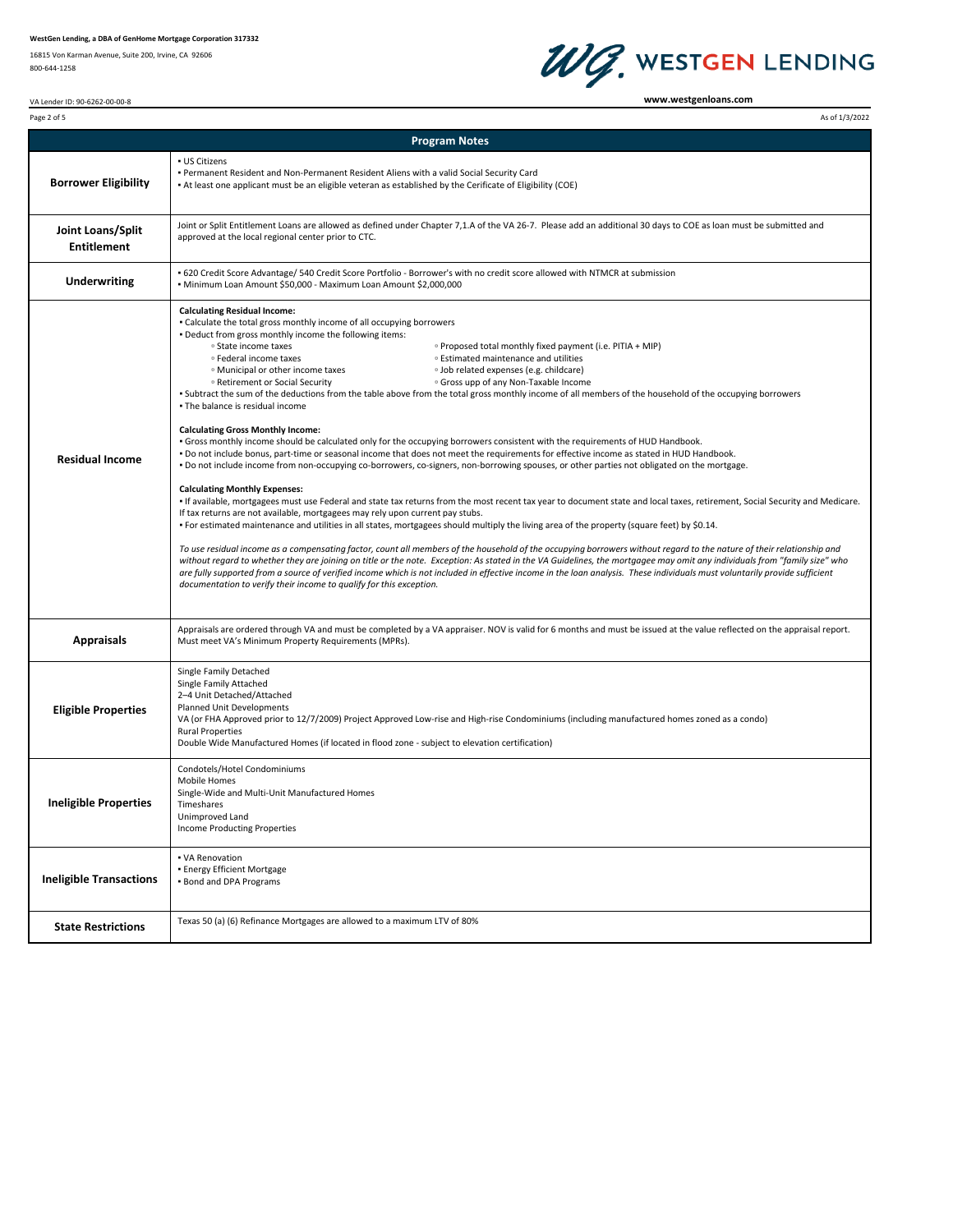16815 Von Karman Avenue, Suite 200, Irvine, CA 92606 800‐644‐1258



**www.westgenloans.com**

| VA Lender ID: 90-6262-00-00-8 |  |
|-------------------------------|--|
|                               |  |

| Page 2 of 5                             | As of 1/3/2022                                                                                                                                                                                                                                                                                                                                                                                                                                                                                                                                                                                                                                                                                                                                                                                                                                                                                                                                                                                                                                                                                                                                                                                                                                                                                                                                                                                                                                                                                                                                                                                                                                                                                                                                                                                                                                                                                                                                                                                                                                                                                                                                                                                                                                                                                                                   |  |  |  |  |  |
|-----------------------------------------|----------------------------------------------------------------------------------------------------------------------------------------------------------------------------------------------------------------------------------------------------------------------------------------------------------------------------------------------------------------------------------------------------------------------------------------------------------------------------------------------------------------------------------------------------------------------------------------------------------------------------------------------------------------------------------------------------------------------------------------------------------------------------------------------------------------------------------------------------------------------------------------------------------------------------------------------------------------------------------------------------------------------------------------------------------------------------------------------------------------------------------------------------------------------------------------------------------------------------------------------------------------------------------------------------------------------------------------------------------------------------------------------------------------------------------------------------------------------------------------------------------------------------------------------------------------------------------------------------------------------------------------------------------------------------------------------------------------------------------------------------------------------------------------------------------------------------------------------------------------------------------------------------------------------------------------------------------------------------------------------------------------------------------------------------------------------------------------------------------------------------------------------------------------------------------------------------------------------------------------------------------------------------------------------------------------------------------|--|--|--|--|--|
|                                         | <b>Program Notes</b>                                                                                                                                                                                                                                                                                                                                                                                                                                                                                                                                                                                                                                                                                                                                                                                                                                                                                                                                                                                                                                                                                                                                                                                                                                                                                                                                                                                                                                                                                                                                                                                                                                                                                                                                                                                                                                                                                                                                                                                                                                                                                                                                                                                                                                                                                                             |  |  |  |  |  |
| <b>Borrower Eligibility</b>             | <b>- US Citizens</b><br>. Permanent Resident and Non-Permanent Resident Aliens with a valid Social Security Card<br>At least one applicant must be an eligible veteran as established by the Cerificate of Eligibility (COE)                                                                                                                                                                                                                                                                                                                                                                                                                                                                                                                                                                                                                                                                                                                                                                                                                                                                                                                                                                                                                                                                                                                                                                                                                                                                                                                                                                                                                                                                                                                                                                                                                                                                                                                                                                                                                                                                                                                                                                                                                                                                                                     |  |  |  |  |  |
| Joint Loans/Split<br><b>Entitlement</b> | Joint or Split Entitlement Loans are allowed as defined under Chapter 7,1.A of the VA 26-7. Please add an additional 30 days to COE as loan must be submitted and<br>approved at the local regional center prior to CTC.                                                                                                                                                                                                                                                                                                                                                                                                                                                                                                                                                                                                                                                                                                                                                                                                                                                                                                                                                                                                                                                                                                                                                                                                                                                                                                                                                                                                                                                                                                                                                                                                                                                                                                                                                                                                                                                                                                                                                                                                                                                                                                         |  |  |  |  |  |
| <b>Underwriting</b>                     | • 620 Credit Score Advantage/ 540 Credit Score Portfolio - Borrower's with no credit score allowed with NTMCR at submission<br>• Minimum Loan Amount \$50,000 - Maximum Loan Amount \$2,000,000                                                                                                                                                                                                                                                                                                                                                                                                                                                                                                                                                                                                                                                                                                                                                                                                                                                                                                                                                                                                                                                                                                                                                                                                                                                                                                                                                                                                                                                                                                                                                                                                                                                                                                                                                                                                                                                                                                                                                                                                                                                                                                                                  |  |  |  |  |  |
| <b>Residual Income</b>                  | <b>Calculating Residual Income:</b><br>. Calculate the total gross monthly income of all occupying borrowers<br>. Deduct from gross monthly income the following items:<br><sup>o</sup> State income taxes<br><sup>o</sup> Proposed total monthly fixed payment (i.e. PITIA + MIP)<br><sup>o</sup> Estimated maintenance and utilities<br><sup>o</sup> Federal income taxes<br><sup>o</sup> Job related expenses (e.g. childcare)<br><sup>o</sup> Municipal or other income taxes<br><sup>o</sup> Retirement or Social Security<br><sup>o</sup> Gross upp of any Non-Taxable Income<br>. Subtract the sum of the deductions from the table above from the total gross monthly income of all members of the household of the occupying borrowers<br>. The balance is residual income<br><b>Calculating Gross Monthly Income:</b><br>• Gross monthly income should be calculated only for the occupying borrowers consistent with the requirements of HUD Handbook.<br>. Do not include bonus, part-time or seasonal income that does not meet the requirements for effective income as stated in HUD Handbook.<br>· Do not include income from non-occupying co-borrowers, co-signers, non-borrowing spouses, or other parties not obligated on the mortgage.<br><b>Calculating Monthly Expenses:</b><br>· If available, mortgagees must use Federal and state tax returns from the most recent tax year to document state and local taxes, retirement, Social Security and Medicare.<br>If tax returns are not available, mortgagees may rely upon current pay stubs.<br>• For estimated maintenance and utilities in all states, mortgagees should multiply the living area of the property (square feet) by \$0.14.<br>To use residual income as a compensating factor, count all members of the household of the occupying borrowers without regard to the nature of their relationship and<br>without regard to whether they are joining on title or the note. Exception: As stated in the VA Guidelines, the mortgagee may omit any individuals from "family size" who<br>are fully supported from a source of verified income which is not included in effective income in the loan analysis. These individuals must voluntarily provide sufficient<br>documentation to verify their income to qualify for this exception. |  |  |  |  |  |
| <b>Appraisals</b>                       | Appraisals are ordered through VA and must be completed by a VA appraiser. NOV is valid for 6 months and must be issued at the value reflected on the appraisal report.<br>Must meet VA's Minimum Property Requirements (MPRs).                                                                                                                                                                                                                                                                                                                                                                                                                                                                                                                                                                                                                                                                                                                                                                                                                                                                                                                                                                                                                                                                                                                                                                                                                                                                                                                                                                                                                                                                                                                                                                                                                                                                                                                                                                                                                                                                                                                                                                                                                                                                                                  |  |  |  |  |  |
| <b>Eligible Properties</b>              | Single Family Detached<br>Single Family Attached<br>2-4 Unit Detached/Attached<br>Planned Unit Developments<br>VA (or FHA Approved prior to 12/7/2009) Project Approved Low-rise and High-rise Condominiums (including manufactured homes zoned as a condo)<br><b>Rural Properties</b><br>Double Wide Manufactured Homes (if located in flood zone - subject to elevation certification)                                                                                                                                                                                                                                                                                                                                                                                                                                                                                                                                                                                                                                                                                                                                                                                                                                                                                                                                                                                                                                                                                                                                                                                                                                                                                                                                                                                                                                                                                                                                                                                                                                                                                                                                                                                                                                                                                                                                         |  |  |  |  |  |
| <b>Ineligible Properties</b>            | Condotels/Hotel Condominiums<br>Mobile Homes<br>Single-Wide and Multi-Unit Manufactured Homes<br>Timeshares<br>Unimproved Land<br><b>Income Producting Properties</b>                                                                                                                                                                                                                                                                                                                                                                                                                                                                                                                                                                                                                                                                                                                                                                                                                                                                                                                                                                                                                                                                                                                                                                                                                                                                                                                                                                                                                                                                                                                                                                                                                                                                                                                                                                                                                                                                                                                                                                                                                                                                                                                                                            |  |  |  |  |  |
| <b>Ineligible Transactions</b>          | • VA Renovation<br><b>- Energy Efficient Mortgage</b><br><b>Bond and DPA Programs</b>                                                                                                                                                                                                                                                                                                                                                                                                                                                                                                                                                                                                                                                                                                                                                                                                                                                                                                                                                                                                                                                                                                                                                                                                                                                                                                                                                                                                                                                                                                                                                                                                                                                                                                                                                                                                                                                                                                                                                                                                                                                                                                                                                                                                                                            |  |  |  |  |  |
| <b>State Restrictions</b>               | Texas 50 (a) (6) Refinance Mortgages are allowed to a maximum LTV of 80%                                                                                                                                                                                                                                                                                                                                                                                                                                                                                                                                                                                                                                                                                                                                                                                                                                                                                                                                                                                                                                                                                                                                                                                                                                                                                                                                                                                                                                                                                                                                                                                                                                                                                                                                                                                                                                                                                                                                                                                                                                                                                                                                                                                                                                                         |  |  |  |  |  |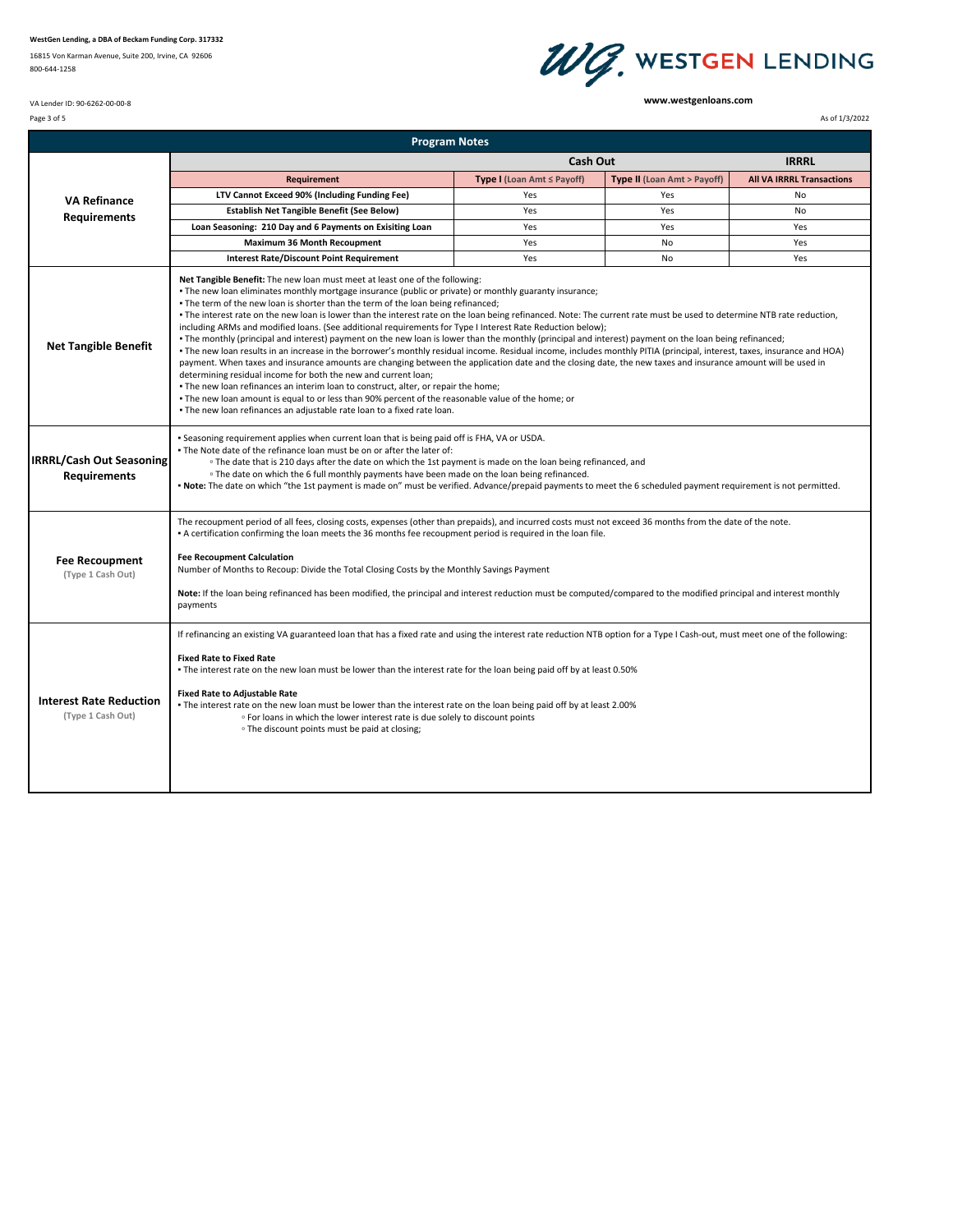16815 Von Karman Avenue, Suite 200, Irvine, CA 92606 800‐644‐1258

## WG. WESTGEN LENDING

**www.westgenloans.com**

Page 3 of 5 As of 1/3/2022 As of 1/3/2022

VA Lender ID: 90‐6262‐00‐00‐8

|                                                        | <b>Program Notes</b>                                                                                                                                                                                                                                                                                                                                                                                                                                                                                                                                                                                                                                                                                                                                                                                                                                                                                                                                                                                                                                                                                                                                                                                                                                                                                                                                                                                                |                            |                             |                                  |  |
|--------------------------------------------------------|---------------------------------------------------------------------------------------------------------------------------------------------------------------------------------------------------------------------------------------------------------------------------------------------------------------------------------------------------------------------------------------------------------------------------------------------------------------------------------------------------------------------------------------------------------------------------------------------------------------------------------------------------------------------------------------------------------------------------------------------------------------------------------------------------------------------------------------------------------------------------------------------------------------------------------------------------------------------------------------------------------------------------------------------------------------------------------------------------------------------------------------------------------------------------------------------------------------------------------------------------------------------------------------------------------------------------------------------------------------------------------------------------------------------|----------------------------|-----------------------------|----------------------------------|--|
|                                                        |                                                                                                                                                                                                                                                                                                                                                                                                                                                                                                                                                                                                                                                                                                                                                                                                                                                                                                                                                                                                                                                                                                                                                                                                                                                                                                                                                                                                                     | Cash Out                   |                             | <b>IRRRL</b>                     |  |
| <b>VA Refinance</b><br><b>Requirements</b>             | <b>Requirement</b>                                                                                                                                                                                                                                                                                                                                                                                                                                                                                                                                                                                                                                                                                                                                                                                                                                                                                                                                                                                                                                                                                                                                                                                                                                                                                                                                                                                                  | Type I (Loan Amt ≤ Payoff) | Type II (Loan Amt > Payoff) | <b>All VA IRRRL Transactions</b> |  |
|                                                        | LTV Cannot Exceed 90% (Including Funding Fee)                                                                                                                                                                                                                                                                                                                                                                                                                                                                                                                                                                                                                                                                                                                                                                                                                                                                                                                                                                                                                                                                                                                                                                                                                                                                                                                                                                       | Yes                        | Yes                         | No                               |  |
|                                                        | <b>Establish Net Tangible Benefit (See Below)</b>                                                                                                                                                                                                                                                                                                                                                                                                                                                                                                                                                                                                                                                                                                                                                                                                                                                                                                                                                                                                                                                                                                                                                                                                                                                                                                                                                                   | Yes                        | Yes                         | No                               |  |
|                                                        | Loan Seasoning: 210 Day and 6 Payments on Exisiting Loan                                                                                                                                                                                                                                                                                                                                                                                                                                                                                                                                                                                                                                                                                                                                                                                                                                                                                                                                                                                                                                                                                                                                                                                                                                                                                                                                                            | Yes                        | Yes                         | Yes                              |  |
|                                                        | <b>Maximum 36 Month Recoupment</b>                                                                                                                                                                                                                                                                                                                                                                                                                                                                                                                                                                                                                                                                                                                                                                                                                                                                                                                                                                                                                                                                                                                                                                                                                                                                                                                                                                                  | Yes                        | No                          | Yes                              |  |
|                                                        | <b>Interest Rate/Discount Point Requirement</b>                                                                                                                                                                                                                                                                                                                                                                                                                                                                                                                                                                                                                                                                                                                                                                                                                                                                                                                                                                                                                                                                                                                                                                                                                                                                                                                                                                     | Yes                        | No                          | Yes                              |  |
| <b>Net Tangible Benefit</b>                            | Net Tangible Benefit: The new loan must meet at least one of the following:<br>. The new loan eliminates monthly mortgage insurance (public or private) or monthly guaranty insurance;<br>. The term of the new loan is shorter than the term of the loan being refinanced;<br>. The interest rate on the new loan is lower than the interest rate on the loan being refinanced. Note: The current rate must be used to determine NTB rate reduction,<br>including ARMs and modified loans. (See additional requirements for Type I Interest Rate Reduction below);<br>• The monthly (principal and interest) payment on the new loan is lower than the monthly (principal and interest) payment on the loan being refinanced;<br>• The new loan results in an increase in the borrower's monthly residual income. Residual income, includes monthly PITIA (principal, interest, taxes, insurance and HOA)<br>payment. When taxes and insurance amounts are changing between the application date and the closing date, the new taxes and insurance amount will be used in<br>determining residual income for both the new and current loan;<br>. The new loan refinances an interim loan to construct, alter, or repair the home;<br>. The new loan amount is equal to or less than 90% percent of the reasonable value of the home; or<br>. The new loan refinances an adjustable rate loan to a fixed rate loan. |                            |                             |                                  |  |
| <b>IRRRL/Cash Out Seasoning</b><br><b>Requirements</b> | - Seasoning requirement applies when current loan that is being paid off is FHA, VA or USDA.<br>. The Note date of the refinance loan must be on or after the later of:<br><sup>o</sup> The date that is 210 days after the date on which the 1st payment is made on the loan being refinanced, and<br><sup>o</sup> The date on which the 6 full monthly payments have been made on the loan being refinanced.<br>• Note: The date on which "the 1st payment is made on" must be verified. Advance/prepaid payments to meet the 6 scheduled payment requirement is not permitted.                                                                                                                                                                                                                                                                                                                                                                                                                                                                                                                                                                                                                                                                                                                                                                                                                                   |                            |                             |                                  |  |
| <b>Fee Recoupment</b><br>(Type 1 Cash Out)             | The recoupment period of all fees, closing costs, expenses (other than prepaids), and incurred costs must not exceed 36 months from the date of the note.<br>. A certification confirming the loan meets the 36 months fee recoupment period is required in the loan file.<br><b>Fee Recoupment Calculation</b><br>Number of Months to Recoup: Divide the Total Closing Costs by the Monthly Savings Payment<br>Note: If the loan being refinanced has been modified, the principal and interest reduction must be computed/compared to the modified principal and interest monthly<br>payments                                                                                                                                                                                                                                                                                                                                                                                                                                                                                                                                                                                                                                                                                                                                                                                                                     |                            |                             |                                  |  |
| <b>Interest Rate Reduction</b><br>(Type 1 Cash Out)    | If refinancing an existing VA guaranteed loan that has a fixed rate and using the interest rate reduction NTB option for a Type I Cash-out, must meet one of the following:<br><b>Fixed Rate to Fixed Rate</b><br>• The interest rate on the new loan must be lower than the interest rate for the loan being paid off by at least 0.50%<br><b>Fixed Rate to Adjustable Rate</b><br>- The interest rate on the new loan must be lower than the interest rate on the loan being paid off by at least 2.00%<br>. For loans in which the lower interest rate is due solely to discount points<br><sup>o</sup> The discount points must be paid at closing;                                                                                                                                                                                                                                                                                                                                                                                                                                                                                                                                                                                                                                                                                                                                                             |                            |                             |                                  |  |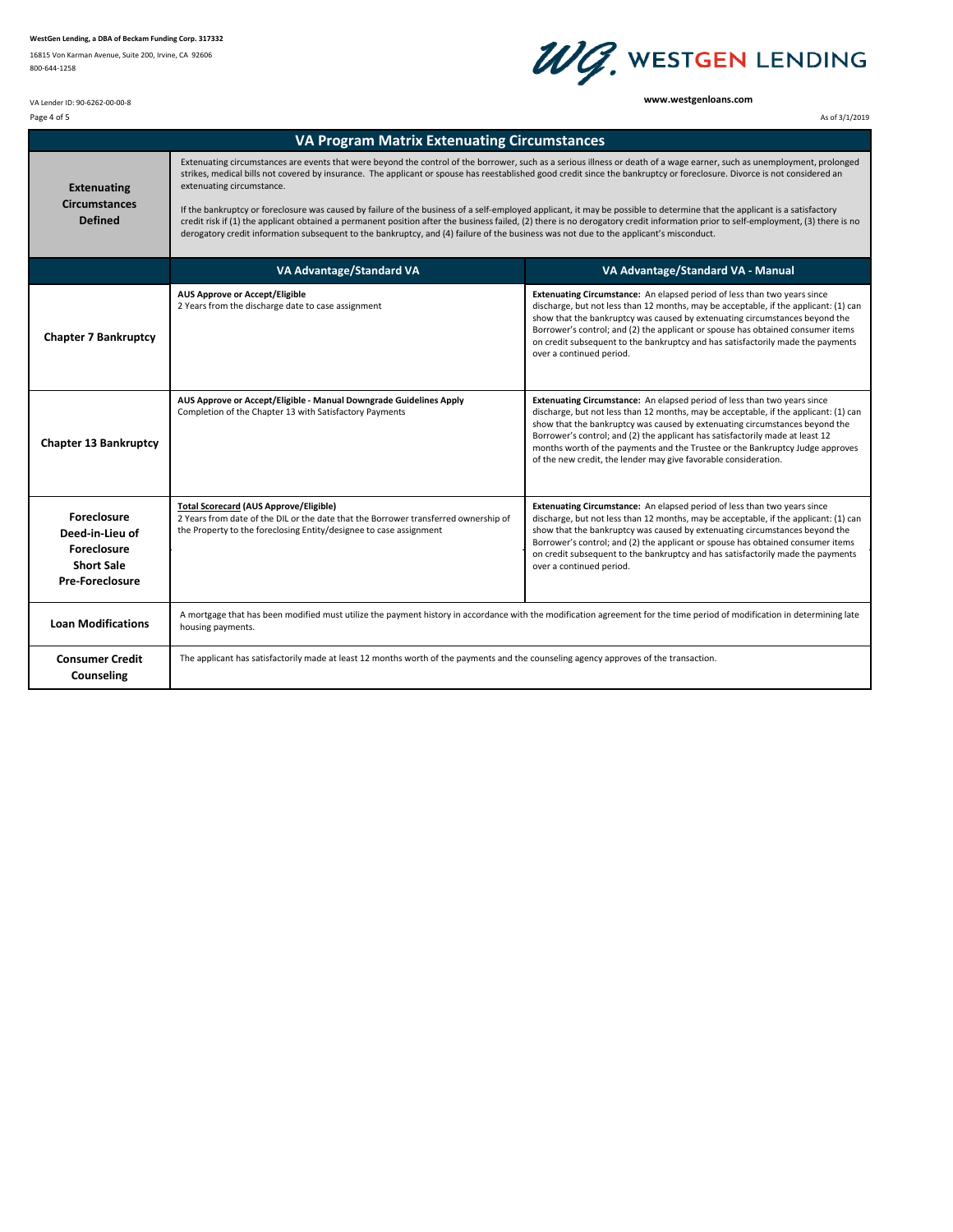16815 Von Karman Avenue, Suite 200, Irvine, CA 92606 800‐644‐1258

VA Lender ID: 90‐6262‐00‐00‐8



**www.westgenloans.com**

Page 4 of 5 As of 3/1/2019 As of 3/1/2019

| <b>VA Program Matrix Extenuating Circumstances</b>                                                         |                                                                                                                                                                                                                                                                                                                                                                                                                                                                                                                                                                                                                                                                                                                                                                                                                                                                                              |                                                                                                                                                                                                                                                                                                                                                                                                                                                                                      |  |  |
|------------------------------------------------------------------------------------------------------------|----------------------------------------------------------------------------------------------------------------------------------------------------------------------------------------------------------------------------------------------------------------------------------------------------------------------------------------------------------------------------------------------------------------------------------------------------------------------------------------------------------------------------------------------------------------------------------------------------------------------------------------------------------------------------------------------------------------------------------------------------------------------------------------------------------------------------------------------------------------------------------------------|--------------------------------------------------------------------------------------------------------------------------------------------------------------------------------------------------------------------------------------------------------------------------------------------------------------------------------------------------------------------------------------------------------------------------------------------------------------------------------------|--|--|
| <b>Extenuating</b><br><b>Circumstances</b><br><b>Defined</b>                                               | Extenuating circumstances are events that were beyond the control of the borrower, such as a serious illness or death of a wage earner, such as unemployment, prolonged<br>strikes, medical bills not covered by insurance. The applicant or spouse has reestablished good credit since the bankruptcy or foreclosure. Divorce is not considered an<br>extenuating circumstance.<br>If the bankruptcy or foreclosure was caused by failure of the business of a self-employed applicant, it may be possible to determine that the applicant is a satisfactory<br>credit risk if (1) the applicant obtained a permanent position after the business failed, (2) there is no derogatory credit information prior to self-employment, (3) there is no<br>derogatory credit information subsequent to the bankruptcy, and (4) failure of the business was not due to the applicant's misconduct. |                                                                                                                                                                                                                                                                                                                                                                                                                                                                                      |  |  |
|                                                                                                            | VA Advantage/Standard VA                                                                                                                                                                                                                                                                                                                                                                                                                                                                                                                                                                                                                                                                                                                                                                                                                                                                     | VA Advantage/Standard VA - Manual                                                                                                                                                                                                                                                                                                                                                                                                                                                    |  |  |
| <b>Chapter 7 Bankruptcy</b>                                                                                | <b>AUS Approve or Accept/Eligible</b><br>2 Years from the discharge date to case assignment                                                                                                                                                                                                                                                                                                                                                                                                                                                                                                                                                                                                                                                                                                                                                                                                  | Extenuating Circumstance: An elapsed period of less than two years since<br>discharge, but not less than 12 months, may be acceptable, if the applicant: (1) can<br>show that the bankruptcy was caused by extenuating circumstances beyond the<br>Borrower's control; and (2) the applicant or spouse has obtained consumer items<br>on credit subsequent to the bankruptcy and has satisfactorily made the payments<br>over a continued period.                                    |  |  |
| <b>Chapter 13 Bankruptcy</b>                                                                               | AUS Approve or Accept/Eligible - Manual Downgrade Guidelines Apply<br>Completion of the Chapter 13 with Satisfactory Payments                                                                                                                                                                                                                                                                                                                                                                                                                                                                                                                                                                                                                                                                                                                                                                | Extenuating Circumstance: An elapsed period of less than two years since<br>discharge, but not less than 12 months, may be acceptable, if the applicant: (1) can<br>show that the bankruptcy was caused by extenuating circumstances beyond the<br>Borrower's control; and (2) the applicant has satisfactorily made at least 12<br>months worth of the payments and the Trustee or the Bankruptcy Judge approves<br>of the new credit, the lender may give favorable consideration. |  |  |
| <b>Foreclosure</b><br>Deed-in-Lieu of<br><b>Foreclosure</b><br><b>Short Sale</b><br><b>Pre-Foreclosure</b> | <b>Total Scorecard (AUS Approve/Eligible)</b><br>2 Years from date of the DIL or the date that the Borrower transferred ownership of<br>the Property to the foreclosing Entity/designee to case assignment                                                                                                                                                                                                                                                                                                                                                                                                                                                                                                                                                                                                                                                                                   | <b>Extenuating Circumstance:</b> An elapsed period of less than two years since<br>discharge, but not less than 12 months, may be acceptable, if the applicant: (1) can<br>show that the bankruptcy was caused by extenuating circumstances beyond the<br>Borrower's control; and (2) the applicant or spouse has obtained consumer items<br>on credit subsequent to the bankruptcy and has satisfactorily made the payments<br>over a continued period.                             |  |  |
| <b>Loan Modifications</b>                                                                                  | A mortgage that has been modified must utilize the payment history in accordance with the modification agreement for the time period of modification in determining late<br>housing payments.                                                                                                                                                                                                                                                                                                                                                                                                                                                                                                                                                                                                                                                                                                |                                                                                                                                                                                                                                                                                                                                                                                                                                                                                      |  |  |
| <b>Consumer Credit</b><br>Counseling                                                                       | The applicant has satisfactorily made at least 12 months worth of the payments and the counseling agency approves of the transaction.                                                                                                                                                                                                                                                                                                                                                                                                                                                                                                                                                                                                                                                                                                                                                        |                                                                                                                                                                                                                                                                                                                                                                                                                                                                                      |  |  |